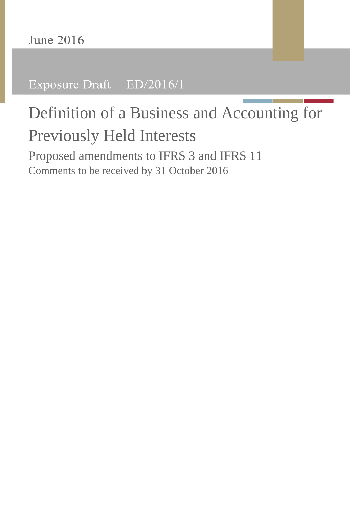# Exposure Draft ED/2016/1

# Definition of a Business and Accounting for Previously Held Interests

Proposed amendments to IFRS 3 and IFRS 11 Comments to be received by 31 October 2016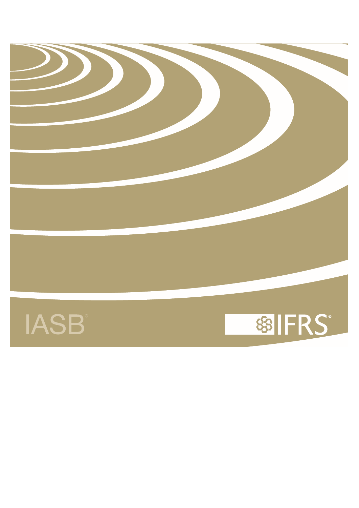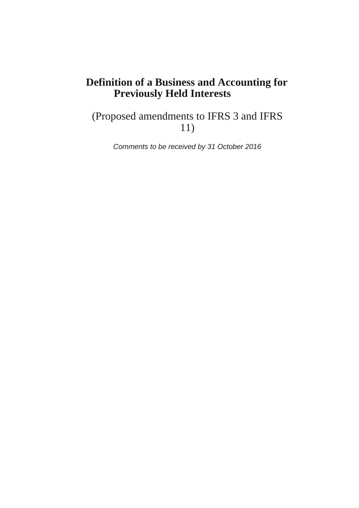# **Definition of a Business and Accounting for Previously Held Interests**

(Proposed amendments to IFRS 3 and IFRS 11)

*Comments to be received by 31 October 2016*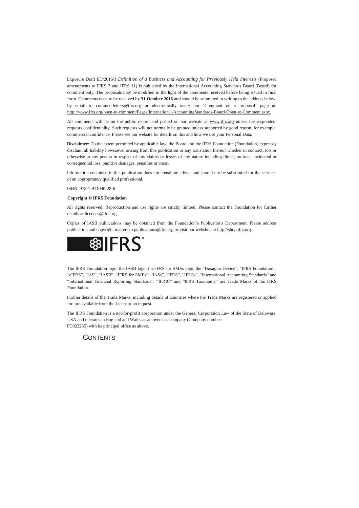Exposure Draft ED/2016/1 *Definition of a Business and Accounting for Previously Held Interests* (Proposed amendments to IFRS 3 and IFRS 11) is published by the International Accounting Standards Board (Board) for comment only. The proposals may be modified in the light of the comments received before being issued in final form. Comments need to be received by **31 October 2016** and should be submitted in writing to the address below, by email to commentletters@ifrs.org or electronically using our 'Comment on a proposal' page at: http://www.ifrs.org/open-to-comment/Pages/International-AccountingStandards-Board-Open-to-Comment.aspx.

All comments will be on the public record and posted on our website at www.ifrs.org unless the respondent requests confidentiality. Such requests will not normally be granted unless supported by good reason, for example, commercial confidence. Please see our website for details on this and how we use your Personal Data.

**Disclaimer:** To the extent permitted by applicable law, the Board and the IFRS Foundation (Foundation) expressly disclaim all liability howsoever arising from this publication or any translation thereof whether in contract, tort or otherwise to any person in respect of any claims or losses of any nature including direct, indirect, incidental or consequential loss, punitive damages, penalties or costs.

Information contained in this publication does not constitute advice and should not be substituted for the services of an appropriately qualified professional.

ISBN: 978-1-911040-28-6

#### **Copyright © IFRS Foundation**

All rights reserved. Reproduction and use rights are strictly limited. Please contact the Foundation for further details at licences@ifrs.org.

Copies of IASB publications may be obtained from the Foundation's Publications Department. Please address publication and copyright matters to publications@ifrs.org or visit our webshop at http://shop.ifrs.org.



The IFRS Foundation logo, the IASB logo, the IFRS for SMEs logo, the "Hexagon Device", "IFRS Foundation", "eIFRS", "IAS", "IASB", "IFRS for SMEs", "IASs", "IFRS", "IFRSs", "International Accounting Standards" and "International Financial Reporting Standards", "IFRIC" and "IFRS Taxonomy" are Trade Marks of the IFRS Foundation.

Further details of the Trade Marks, including details of countries where the Trade Marks are registered or applied for, are available from the Licensor on request.

The IFRS Foundation is a not-for-profit corporation under the General Corporation Law of the State of Delaware, USA and operates in England and Wales as an overseas company (Company number: FC023235) with its principal office as above.

# **CONTENTS**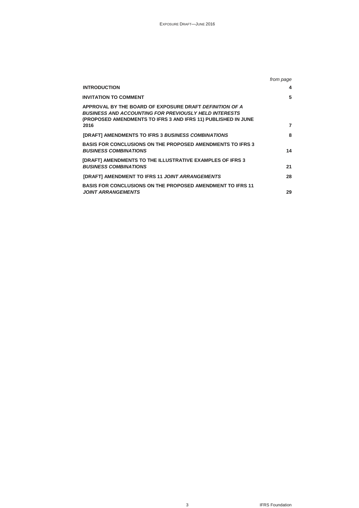|                                                                                                                                                                                          | from page |
|------------------------------------------------------------------------------------------------------------------------------------------------------------------------------------------|-----------|
| <b>INTRODUCTION</b>                                                                                                                                                                      | 4         |
| <b>INVITATION TO COMMENT</b>                                                                                                                                                             | 5         |
| APPROVAL BY THE BOARD OF EXPOSURE DRAFT DEFINITION OF A<br><b>BUSINESS AND ACCOUNTING FOR PREVIOUSLY HELD INTERESTS</b><br>(PROPOSED AMENDMENTS TO IFRS 3 AND IFRS 11) PUBLISHED IN JUNE |           |
| 2016                                                                                                                                                                                     | 7         |
| [DRAFT] AMENDMENTS TO IFRS 3 BUSINESS COMBINATIONS                                                                                                                                       | 8         |
| <b>BASIS FOR CONCLUSIONS ON THE PROPOSED AMENDMENTS TO IFRS 3</b><br><b>BUSINESS COMBINATIONS</b>                                                                                        | 14        |
| <b>[DRAFT] AMENDMENTS TO THE ILLUSTRATIVE EXAMPLES OF IFRS 3</b><br><b>BUSINESS COMBINATIONS</b>                                                                                         | 21        |
| <b>[DRAFT] AMENDMENT TO IFRS 11 JOINT ARRANGEMENTS</b>                                                                                                                                   | 28        |
| <b>BASIS FOR CONCLUSIONS ON THE PROPOSED AMENDMENT TO IFRS 11</b><br><b>JOINT ARRANGEMENTS</b>                                                                                           | 29        |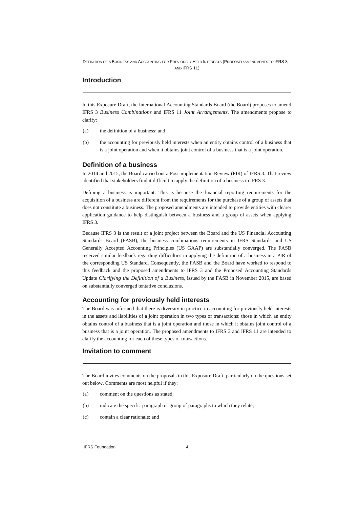# **Introduction**

In this Exposure Draft, the International Accounting Standards Board (the Board) proposes to amend IFRS 3 *Business Combinations* and IFRS 11 *Joint Arrangements*. The amendments propose to clarify:

- (a) the definition of a business; and
- (b) the accounting for previously held interests when an entity obtains control of a business that is a joint operation and when it obtains joint control of a business that is a joint operation.

#### **Definition of a business**

In 2014 and 2015, the Board carried out a Post-implementation Review (PIR) of IFRS 3. That review identified that stakeholders find it difficult to apply the definition of a business in IFRS 3.

Defining a business is important. This is because the financial reporting requirements for the acquisition of a business are different from the requirements for the purchase of a group of assets that does not constitute a business. The proposed amendments are intended to provide entities with clearer application guidance to help distinguish between a business and a group of assets when applying IFRS 3.

Because IFRS 3 is the result of a joint project between the Board and the US Financial Accounting Standards Board (FASB), the business combinations requirements in IFRS Standards and US Generally Accepted Accounting Principles (US GAAP) are substantially converged. The FASB received similar feedback regarding difficulties in applying the definition of a business in a PIR of the corresponding US Standard. Consequently, the FASB and the Board have worked to respond to this feedback and the proposed amendments to IFRS 3 and the Proposed Accounting Standards Update *Clarifying the Definition of a Business*, issued by the FASB in November 2015, are based on substantially converged tentative conclusions.

# **Accounting for previously held interests**

The Board was informed that there is diversity in practice in accounting for previously held interests in the assets and liabilities of a joint operation in two types of transactions: those in which an entity obtains control of a business that is a joint operation and those in which it obtains joint control of a business that is a joint operation. The proposed amendments to IFRS 3 and IFRS 11 are intended to clarify the accounting for each of these types of transactions.

# **Invitation to comment**

The Board invites comments on the proposals in this Exposure Draft, particularly on the questions set out below. Comments are most helpful if they:

- (a) comment on the questions as stated;
- (b) indicate the specific paragraph or group of paragraphs to which they relate;
- (c) contain a clear rationale; and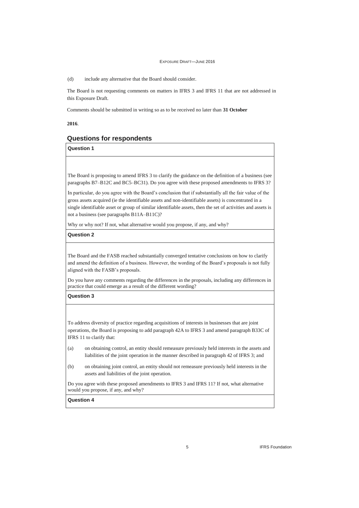(d) include any alternative that the Board should consider.

The Board is not requesting comments on matters in IFRS 3 and IFRS 11 that are not addressed in this Exposure Draft.

Comments should be submitted in writing so as to be received no later than **31 October**

**2016**.

# **Questions for respondents**

**Question 1**

The Board is proposing to amend IFRS 3 to clarify the guidance on the definition of a business (see paragraphs B7–B12C and BC5–BC31). Do you agree with these proposed amendments to IFRS 3?

In particular, do you agree with the Board's conclusion that if substantially all the fair value of the gross assets acquired (ie the identifiable assets and non-identifiable assets) is concentrated in a single identifiable asset or group of similar identifiable assets, then the set of activities and assets is not a business (see paragraphs B11A–B11C)?

Why or why not? If not, what alternative would you propose, if any, and why?

# **Question 2**

The Board and the FASB reached substantially converged tentative conclusions on how to clarify and amend the definition of a business. However, the wording of the Board's proposals is not fully aligned with the FASB's proposals.

Do you have any comments regarding the differences in the proposals, including any differences in practice that could emerge as a result of the different wording?

#### **Question 3**

To address diversity of practice regarding acquisitions of interests in businesses that are joint operations, the Board is proposing to add paragraph 42A to IFRS 3 and amend paragraph B33C of IFRS 11 to clarify that:

- (a) on obtaining control, an entity should remeasure previously held interests in the assets and liabilities of the joint operation in the manner described in paragraph 42 of IFRS 3; and
- (b) on obtaining joint control, an entity should not remeasure previously held interests in the assets and liabilities of the joint operation.

Do you agree with these proposed amendments to IFRS 3 and IFRS 11? If not, what alternative would you propose, if any, and why?

**Question 4**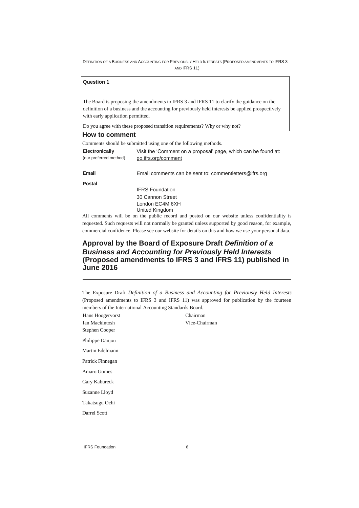#### **Question 1**

The Board is proposing the amendments to IFRS 3 and IFRS 11 to clarify the guidance on the definition of a business and the accounting for previously held interests be applied prospectively with early application permitted.

Do you agree with these proposed transition requirements? Why or why not?

# **How to comment**

Comments should be submitted using one of the following methods.

| Electronically<br>(our preferred method) | Visit the 'Comment on a proposal' page, which can be found at:<br>go.ifrs.org/comment     |
|------------------------------------------|-------------------------------------------------------------------------------------------|
| Email                                    | Email comments can be sent to: commentletters@ifrs.org                                    |
| <b>Postal</b>                            |                                                                                           |
|                                          | <b>IFRS Foundation</b>                                                                    |
|                                          | 30 Cannon Street                                                                          |
|                                          | London EC4M 6XH                                                                           |
|                                          | United Kingdom                                                                            |
|                                          | All commante will be an the public record and poeted on our website unless confidentialit |

All comments will be on the public record and posted on our website unless confidentiality is requested. Such requests will not normally be granted unless supported by good reason, for example, commercial confidence. Please see our website for details on this and how we use your personal data.

# **Approval by the Board of Exposure Draft** *Definition of a Business and Accounting for Previously Held Interests*  **(Proposed amendments to IFRS 3 and IFRS 11) published in June 2016**

The Exposure Draft *Definition of a Business and Accounting for Previously Held Interests*  (Proposed amendments to IFRS 3 and IFRS 11) was approved for publication by the fourteen members of the International Accounting Standards Board.

| Hans Hoogervorst   | Chairman      |
|--------------------|---------------|
| Ian Mackintosh     | Vice-Chairman |
| Stephen Cooper     |               |
| Philippe Danjou    |               |
| Martin Edelmann    |               |
| Patrick Finnegan   |               |
| <b>Amaro Gomes</b> |               |
| Gary Kabureck      |               |
| Suzanne Lloyd      |               |
| Takatsugu Ochi     |               |
| Darrel Scott       |               |
|                    |               |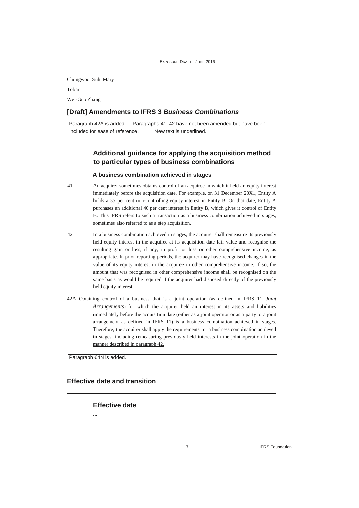Chungwoo Suh Mary Tokar

Wei-Guo Zhang

# **[Draft] Amendments to IFRS 3** *Business Combinations*

Paragraph 42A is added. Paragraphs 41–42 have not been amended but have been included for ease of reference. New text is underlined.

# **Additional guidance for applying the acquisition method to particular types of business combinations**

#### **A business combination achieved in stages**

- 41 An acquirer sometimes obtains control of an acquiree in which it held an equity interest immediately before the acquisition date. For example, on 31 December 20X1, Entity A holds a 35 per cent non-controlling equity interest in Entity B. On that date, Entity A purchases an additional 40 per cent interest in Entity B, which gives it control of Entity B. This IFRS refers to such a transaction as a business combination achieved in stages, sometimes also referred to as a step acquisition.
- 42 In a business combination achieved in stages, the acquirer shall remeasure its previously held equity interest in the acquiree at its acquisition-date fair value and recognise the resulting gain or loss, if any, in profit or loss or other comprehensive income, as appropriate. In prior reporting periods, the acquirer may have recognised changes in the value of its equity interest in the acquiree in other comprehensive income. If so, the amount that was recognised in other comprehensive income shall be recognised on the same basis as would be required if the acquirer had disposed directly of the previously held equity interest.
- 42A Obtaining control of a business that is a joint operation (as defined in IFRS 11 *Joint Arrangements*) for which the acquirer held an interest in its assets and liabilities immediately before the acquisition date (either as a joint operator or as a party to a joint arrangement as defined in IFRS 11) is a business combination achieved in stages. Therefore, the acquirer shall apply the requirements for a business combination achieved in stages, including remeasuring previously held interests in the joint operation in the manner described in paragraph 42.

Paragraph 64N is added.

...

# **Effective date and transition**

# **Effective date**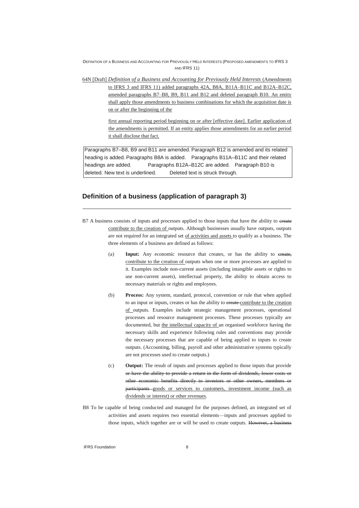64N [Draft] *Definition of a Business and Accounting for Previously Held Interests* (Amendments to IFRS 3 and IFRS 11) added paragraphs 42A, B8A, B11A–B11C and B12A–B12C, amended paragraphs B7–B8, B9, B11 and B12 and deleted paragraph B10. An entity shall apply those amendments to business combinations for which the acquisition date is on or after the beginning of the

> first annual reporting period beginning on or after [effective date]. Earlier application of the amendments is permitted. If an entity applies those amendments for an earlier period it shall disclose that fact.

Paragraphs B7–B8, B9 and B11 are amended. Paragraph B12 is amended and its related heading is added. Paragraphs B8A is added. Paragraphs B11A–B11C and their related headings are added. Paragraphs B12A–B12C are added. Paragraph B10 is deleted. New text is underlined. Deleted text is struck through.

# **Definition of a business (application of paragraph 3)**

- B7 A business consists of inputs and processes applied to those inputs that have the ability to create contribute to the creation of outputs. Although businesses usually have outputs, outputs are not required for an integrated set of activities and assets to qualify as a business. The three elements of a business are defined as follows:
	- (a) **Input:** Any economic resource that creates, or has the ability to ereate, contribute to the creation of outputs when one or more processes are applied to it. Examples include non-current assets (including intangible assets or rights to use non-current assets), intellectual property, the ability to obtain access to necessary materials or rights and employees.
	- (b) **Process:** Any system, standard, protocol, convention or rule that when applied to an input or inputs, creates or has the ability to create contribute to the creation of outputs. Examples include strategic management processes, operational processes and resource management processes. These processes typically are documented, but the intellectual capacity of an organised workforce having the necessary skills and experience following rules and conventions may provide the necessary processes that are capable of being applied to inputs to create outputs. (Accounting, billing, payroll and other administrative systems typically are not processes used to create outputs.)
	- (c) **Output:** The result of inputs and processes applied to those inputs that provide or have the ability to provide a return in the form of dividends, lower costs or other economic benefits directly to investors or other owners, members or participants goods or services to customers, investment income (such as dividends or interest) or other revenues.
- B8 To be capable of being conducted and managed for the purposes defined, an integrated set of activities and assets requires two essential elements—inputs and processes applied to those inputs, which together are or will be used to create outputs. However, a business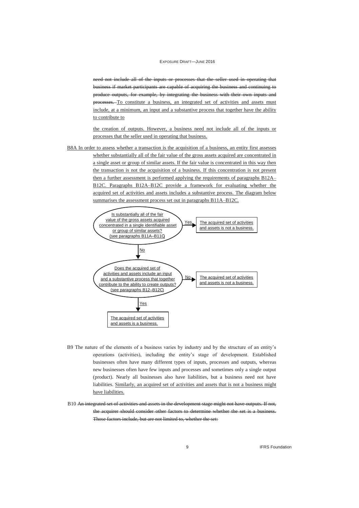need not include all of the inputs or processes that the seller used in operating that business if market participants are capable of acquiring the business and continuing to produce outputs, for example, by integrating the business with their own inputs and processes. To constitute a business, an integrated set of activities and assets must include, at a minimum, an input and a substantive process that together have the ability to contribute to

the creation of outputs. However, a business need not include all of the inputs or processes that the seller used in operating that business.

B8A In order to assess whether a transaction is the acquisition of a business, an entity first assesses whether substantially all of the fair value of the gross assets acquired are concentrated in a single asset or group of similar assets. If the fair value is concentrated in this way then the transaction is not the acquisition of a business. If this concentration is not present then a further assessment is performed applying the requirements of paragraphs B12A– B12C. Paragraphs B12A–B12C provide a framework for evaluating whether the acquired set of activities and assets includes a substantive process. The diagram below summarises the assessment process set out in paragraphs B11A–B12C.



- B9 The nature of the elements of a business varies by industry and by the structure of an entity's operations (activities), including the entity's stage of development. Established businesses often have many different types of inputs, processes and outputs, whereas new businesses often have few inputs and processes and sometimes only a single output (product). Nearly all businesses also have liabilities, but a business need not have liabilities. Similarly, an acquired set of activities and assets that is not a business might have liabilities.
- B10 An integrated set of activities and assets in the development stage might not have outputs. If not, the acquirer should consider other factors to determine whether the set is a business. Those factors include, but are not limited to, whether the set: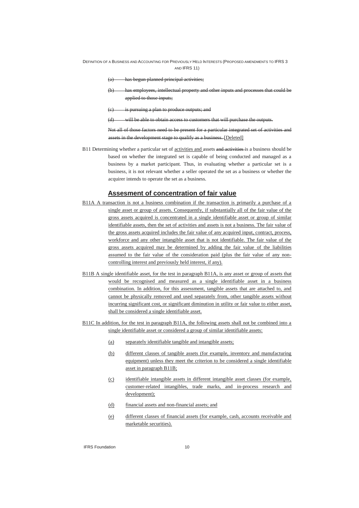- DEFINITION OF A BUSINESS AND ACCOUNTING FOR PREVIOUSLY HELD INTERESTS (PROPOSED AMENDMENTS TO IFRS 3 AND IFRS 11)
	- has begun planned principal activities;
	- (b) has employees, intellectual property and other inputs and processes that could be applied to those inputs;
	- (c) is pursuing a plan to produce outputs; and
	- (d) will be able to obtain access to customers that will purchase the outputs.

Not all of those factors need to be present for a particular integrated set of activities and assets in the development stage to qualify as a business. [Deleted]

B11 Determining whether a particular set of activities and assets and activities is a business should be based on whether the integrated set is capable of being conducted and managed as a business by a market participant. Thus, in evaluating whether a particular set is a business, it is not relevant whether a seller operated the set as a business or whether the acquirer intends to operate the set as a business.

#### **Assesment of concentration of fair value**

- B11A A transaction is not a business combination if the transaction is primarily a purchase of a single asset or group of assets. Consequently, if substantially all of the fair value of the gross assets acquired is concentrated in a single identifiable asset or group of similar identifiable assets, then the set of activities and assets is not a business. The fair value of the gross assets acquired includes the fair value of any acquired input, contract, process, workforce and any other intangible asset that is not identifiable. The fair value of the gross assets acquired may be determined by adding the fair value of the liabilities assumed to the fair value of the consideration paid (plus the fair value of any noncontrolling interest and previously held interest, if any).
- B11B A single identifiable asset, for the test in paragraph B11A, is any asset or group of assets that would be recognised and measured as a single identifiable asset in a business combination. In addition, for this assessment, tangible assets that are attached to, and cannot be physically removed and used separately from, other tangible assets without incurring significant cost, or significant diminution in utility or fair value to either asset, shall be considered a single identifiable asset.
- B11C In addition, for the test in paragraph B11A, the following assets shall not be combined into a single identifiable asset or considered a group of similar identifiable assets:
	- (a) separately identifiable tangible and intangible assets;
	- (b) different classes of tangible assets (for example, inventory and manufacturing equipment) unless they meet the criterion to be considered a single identifiable asset in paragraph B11B;
	- (c) identifiable intangible assets in different intangible asset classes (for example, customer-related intangibles, trade marks, and in-process research and development);
	- (d) financial assets and non-financial assets; and
	- (e) different classes of financial assets (for example, cash, accounts receivable and marketable securities).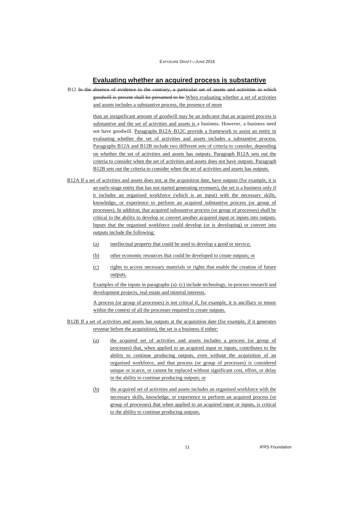#### **Evaluating whether an acquired process is substantive**

B12 In the absence of evidence to the contrary, a particular set of assets and activities in which goodwill is present shall be presumed to be When evaluating whether a set of activities and assets includes a substantive process, the presence of more

> than an insignificant amount of goodwill may be an indicator that an acquired process is substantive and the set of activities and assets is a business. However, a business need not have goodwill. Paragraphs B12A–B12C provide a framework to assist an entity in evaluating whether the set of activities and assets includes a substantive process. Paragraphs B12A and B12B include two different sets of criteria to consider, depending on whether the set of activities and assets has outputs. Paragraph B12A sets out the criteria to consider when the set of activities and assets does not have outputs. Paragraph B12B sets out the criteria to consider when the set of activities and assets has outputs.

- B12A If a set of activities and assets does not, at the acquisition date, have outputs (for example, it is an early-stage entity that has not started generating revenues), the set is a business only if it includes an organised workforce (which is an input) with the necessary skills, knowledge, or experience to perform an acquired substantive process (or group of processes). In addition, that acquired substantive process (or group of processes) shall be critical to the ability to develop or convert another acquired input or inputs into outputs. Inputs that the organised workforce could develop (or is developing) or convert into outputs include the following:
	- (a) intellectual property that could be used to develop a good or service;
	- (b) other economic resources that could be developed to create outputs; or
	- (c) rights to access necessary materials or rights that enable the creation of future outputs.

Examples of the inputs in paragraphs (a)–(c) include technology, in-process research and development projects, real estate and mineral interests.

A process (or group of processes) is not critical if, for example, it is ancillary or minor within the context of all the processes required to create outputs.

- B12B If a set of activities and assets has outputs at the acquisition date (for example, if it generates revenue before the acquisition), the set is a business if either:
	- (a) the acquired set of activities and assets includes a process (or group of processes) that, when applied to an acquired input or inputs, contributes to the ability to continue producing outputs, even without the acquisition of an organised workforce, and that process (or group of processes) is considered unique or scarce, or cannot be replaced without significant cost, effort, or delay in the ability to continue producing outputs; or
	- (b) the acquired set of activities and assets includes an organised workforce with the necessary skills, knowledge, or experience to perform an acquired process (or group of processes) that when applied to an acquired input or inputs, is critical to the ability to continue producing outputs.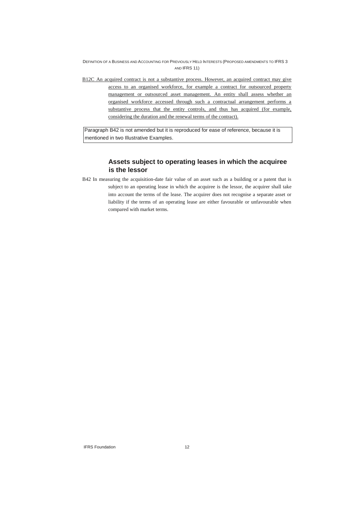B12C An acquired contract is not a substantive process. However, an acquired contract may give access to an organised workforce, for example a contract for outsourced property management or outsourced asset management. An entity shall assess whether an organised workforce accessed through such a contractual arrangement performs a substantive process that the entity controls, and thus has acquired (for example, considering the duration and the renewal terms of the contract).

Paragraph B42 is not amended but it is reproduced for ease of reference, because it is mentioned in two Illustrative Examples.

# **Assets subject to operating leases in which the acquiree is the lessor**

B42 In measuring the acquisition-date fair value of an asset such as a building or a patent that is subject to an operating lease in which the acquiree is the lessor, the acquirer shall take into account the terms of the lease. The acquirer does not recognise a separate asset or liability if the terms of an operating lease are either favourable or unfavourable when compared with market terms.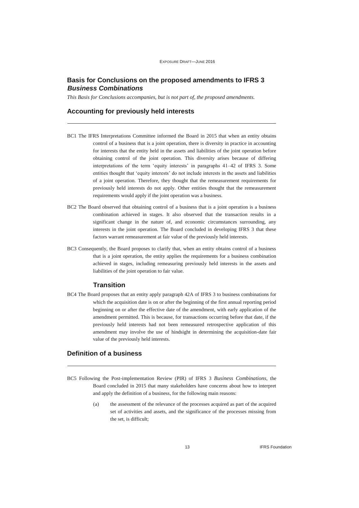# **Basis for Conclusions on the proposed amendments to IFRS 3**  *Business Combinations*

*This Basis for Conclusions accompanies, but is not part of, the proposed amendments.*

# **Accounting for previously held interests**

- BC1 The IFRS Interpretations Committee informed the Board in 2015 that when an entity obtains control of a business that is a joint operation, there is diversity in practice in accounting for interests that the entity held in the assets and liabilities of the joint operation before obtaining control of the joint operation. This diversity arises because of differing interpretations of the term 'equity interests' in paragraphs 41–42 of IFRS 3. Some entities thought that 'equity interests' do not include interests in the assets and liabilities of a joint operation. Therefore, they thought that the remeasurement requirements for previously held interests do not apply. Other entities thought that the remeasurement requirements would apply if the joint operation was a business.
- BC2 The Board observed that obtaining control of a business that is a joint operation is a business combination achieved in stages. It also observed that the transaction results in a significant change in the nature of, and economic circumstances surrounding, any interests in the joint operation. The Board concluded in developing IFRS 3 that these factors warrant remeasurement at fair value of the previously held interests.
- BC3 Consequently, the Board proposes to clarify that, when an entity obtains control of a business that is a joint operation, the entity applies the requirements for a business combination achieved in stages, including remeasuring previously held interests in the assets and liabilities of the joint operation to fair value.

#### **Transition**

BC4 The Board proposes that an entity apply paragraph 42A of IFRS 3 to business combinations for which the acquisition date is on or after the beginning of the first annual reporting period beginning on or after the effective date of the amendment, with early application of the amendment permitted. This is because, for transactions occurring before that date, if the previously held interests had not been remeasured retrospective application of this amendment may involve the use of hindsight in determining the acquisition-date fair value of the previously held interests.

# **Definition of a business**

- BC5 Following the Post-implementation Review (PIR) of IFRS 3 *Business Combinations*, the Board concluded in 2015 that many stakeholders have concerns about how to interpret and apply the definition of a business, for the following main reasons:
	- (a) the assessment of the relevance of the processes acquired as part of the acquired set of activities and assets, and the significance of the processes missing from the set, is difficult: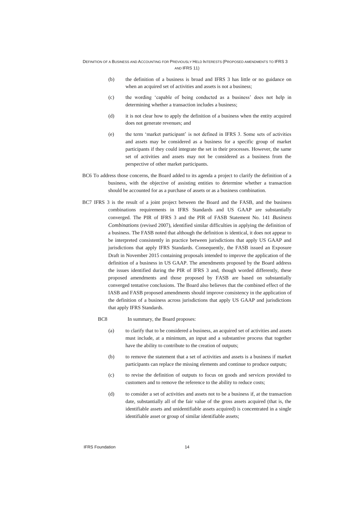- (b) the definition of a business is broad and IFRS 3 has little or no guidance on when an acquired set of activities and assets is not a business:
- (c) the wording 'capable of being conducted as a business' does not help in determining whether a transaction includes a business;
- (d) it is not clear how to apply the definition of a business when the entity acquired does not generate revenues; and
- (e) the term 'market participant' is not defined in IFRS 3. Some sets of activities and assets may be considered as a business for a specific group of market participants if they could integrate the set in their processes. However, the same set of activities and assets may not be considered as a business from the perspective of other market participants.
- BC6 To address those concerns, the Board added to its agenda a project to clarify the definition of a business, with the objective of assisting entities to determine whether a transaction should be accounted for as a purchase of assets or as a business combination.
- BC7 IFRS 3 is the result of a joint project between the Board and the FASB, and the business combinations requirements in IFRS Standards and US GAAP are substantially converged. The PIR of IFRS 3 and the PIR of FASB Statement No. 141 *Business Combinations* (revised 2007), identified similar difficulties in applying the definition of a business. The FASB noted that although the definition is identical, it does not appear to be interpreted consistently in practice between jurisdictions that apply US GAAP and jurisdictions that apply IFRS Standards. Consequently, the FASB issued an Exposure Draft in November 2015 containing proposals intended to improve the application of the definition of a business in US GAAP. The amendments proposed by the Board address the issues identified during the PIR of IFRS 3 and, though worded differently, these proposed amendments and those proposed by FASB are based on substantially converged tentative conclusions. The Board also believes that the combined effect of the IASB and FASB proposed amendments should improve consistency in the application of the definition of a business across jurisdictions that apply US GAAP and jurisdictions that apply IFRS Standards.

#### BC8 In summary, the Board proposes:

- (a) to clarify that to be considered a business, an acquired set of activities and assets must include, at a minimum, an input and a substantive process that together have the ability to contribute to the creation of outputs;
- (b) to remove the statement that a set of activities and assets is a business if market participants can replace the missing elements and continue to produce outputs;
- (c) to revise the definition of outputs to focus on goods and services provided to customers and to remove the reference to the ability to reduce costs;
- (d) to consider a set of activities and assets not to be a business if, at the transaction date, substantially all of the fair value of the gross assets acquired (that is, the identifiable assets and unidentifiable assets acquired) is concentrated in a single identifiable asset or group of similar identifiable assets;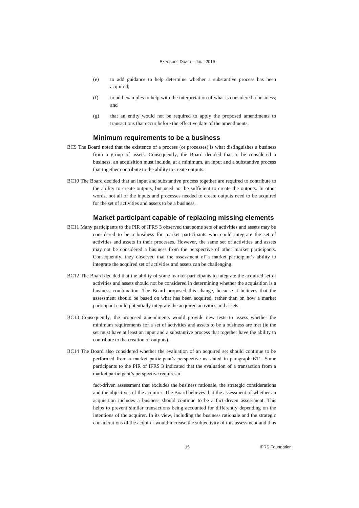- (e) to add guidance to help determine whether a substantive process has been acquired;
- (f) to add examples to help with the interpretation of what is considered a business; and
- (g) that an entity would not be required to apply the proposed amendments to transactions that occur before the effective date of the amendments.

#### **Minimum requirements to be a business**

- BC9 The Board noted that the existence of a process (or processes) is what distinguishes a business from a group of assets. Consequently, the Board decided that to be considered a business, an acquisition must include, at a minimum, an input and a substantive process that together contribute to the ability to create outputs.
- BC10 The Board decided that an input and substantive process together are required to contribute to the ability to create outputs, but need not be sufficient to create the outputs. In other words, not all of the inputs and processes needed to create outputs need to be acquired for the set of activities and assets to be a business.

#### **Market participant capable of replacing missing elements**

- BC11 Many participants to the PIR of IFRS 3 observed that some sets of activities and assets may be considered to be a business for market participants who could integrate the set of activities and assets in their processes. However, the same set of activities and assets may not be considered a business from the perspective of other market participants. Consequently, they observed that the assessment of a market participant's ability to integrate the acquired set of activities and assets can be challenging.
- BC12 The Board decided that the ability of some market participants to integrate the acquired set of activities and assets should not be considered in determining whether the acquisition is a business combination. The Board proposed this change, because it believes that the assessment should be based on what has been acquired, rather than on how a market participant could potentially integrate the acquired activities and assets.
- BC13 Consequently, the proposed amendments would provide new tests to assess whether the minimum requirements for a set of activities and assets to be a business are met (ie the set must have at least an input and a substantive process that together have the ability to contribute to the creation of outputs).
- BC14 The Board also considered whether the evaluation of an acquired set should continue to be performed from a market participant's perspective as stated in paragraph B11. Some participants to the PIR of IFRS 3 indicated that the evaluation of a transaction from a market participant's perspective requires a

fact-driven assessment that excludes the business rationale, the strategic considerations and the objectives of the acquirer. The Board believes that the assessment of whether an acquisition includes a business should continue to be a fact-driven assessment. This helps to prevent similar transactions being accounted for differently depending on the intentions of the acquirer. In its view, including the business rationale and the strategic considerations of the acquirer would increase the subjectivity of this assessment and thus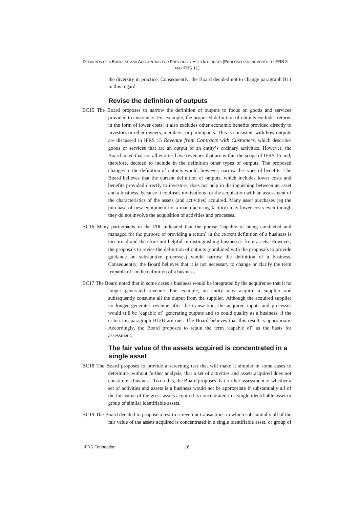> the diversity in practice. Consequently, the Board decided not to change paragraph B11 in this regard.

### **Revise the definition of outputs**

- BC15 The Board proposes to narrow the definition of outputs to focus on goods and services provided to customers. For example, the proposed definition of outputs excludes returns in the form of lower costs; it also excludes other economic benefits provided directly to investors or other owners, members, or participants. This is consistent with how outputs are discussed in IFRS 15 *Revenue from Contracts with Customers*, which describes goods or services that are an output of an entity's ordinary activities. However, the Board noted that not all entities have revenues that are within the scope of IFRS 15 and, therefore, decided to include in the definition other types of outputs. The proposed changes to the definition of outputs would, however, narrow the types of benefits. The Board believes that the current definition of outputs, which includes lower costs and benefits provided directly to investors, does not help in distinguishing between an asset and a business, because it confuses motivations for the acquisition with an assessment of the characteristics of the assets (and activities) acquired. Many asset purchases (eg the purchase of new equipment for a manufacturing facility) may lower costs even though they do not involve the acquisition of activities and processes.
- BC16 Many participants in the PIR indicated that the phrase 'capable of being conducted and managed for the purpose of providing a return' in the current definition of a business is too broad and therefore not helpful in distinguishing businesses from assets. However, the proposals to revise the definition of outputs (combined with the proposals to provide guidance on substantive processes) would narrow the definition of a business. Consequently, the Board believes that it is not necessary to change or clarify the term 'capable of' in the definition of a business.
- BC17 The Board noted that in some cases a business would be integrated by the acquirer so that it no longer generated revenue. For example, an entity may acquire a supplier and subsequently consume all the output from the supplier. Although the acquired supplier no longer generates revenue after the transaction, the acquired inputs and processes would still be 'capable of' generating outputs and so could qualify as a business, if the criteria in paragraph B12B are met. The Board believes that this result is appropriate. Accordingly, the Board proposes to retain the term 'capable of' as the basis for assessment.

# **The fair value of the assets acquired is concentrated in a single asset**

- BC18 The Board proposes to provide a screening test that will make it simpler in some cases to determine, without further analysis, that a set of activities and assets acquired does not constitute a business. To do this, the Board proposes that further assessment of whether a set of activities and assets is a business would not be appropriate if substantially all of the fair value of the gross assets acquired is concentrated in a single identifiable asset or group of similar identifiable assets.
- BC19 The Board decided to propose a test to screen out transactions in which substantially all of the fair value of the assets acquired is concentrated in a single identifiable asset, or group of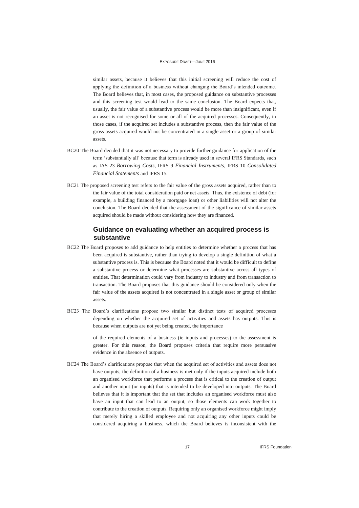similar assets, because it believes that this initial screening will reduce the cost of applying the definition of a business without changing the Board's intended outcome. The Board believes that, in most cases, the proposed guidance on substantive processes and this screening test would lead to the same conclusion. The Board expects that, usually, the fair value of a substantive process would be more than insignificant, even if an asset is not recognised for some or all of the acquired processes. Consequently, in those cases, if the acquired set includes a substantive process, then the fair value of the gross assets acquired would not be concentrated in a single asset or a group of similar assets.

- BC20 The Board decided that it was not necessary to provide further guidance for application of the term 'substantially all' because that term is already used in several IFRS Standards, such as IAS 23 *Borrowing Costs*, IFRS 9 *Financial Instruments*, IFRS 10 *Consolidated Financial Statements* and IFRS 15.
- BC21 The proposed screening test refers to the fair value of the gross assets acquired, rather than to the fair value of the total consideration paid or net assets. Thus, the existence of debt (for example, a building financed by a mortgage loan) or other liabilities will not alter the conclusion. The Board decided that the assessment of the significance of similar assets acquired should be made without considering how they are financed.

# **Guidance on evaluating whether an acquired process is substantive**

- BC22 The Board proposes to add guidance to help entities to determine whether a process that has been acquired is substantive, rather than trying to develop a single definition of what a substantive process is. This is because the Board noted that it would be difficult to define a substantive process or determine what processes are substantive across all types of entities. That determination could vary from industry to industry and from transaction to transaction. The Board proposes that this guidance should be considered only when the fair value of the assets acquired is not concentrated in a single asset or group of similar assets.
- BC23 The Board's clarifications propose two similar but distinct tests of acquired processes depending on whether the acquired set of activities and assets has outputs. This is because when outputs are not yet being created, the importance

of the required elements of a business (ie inputs and processes) to the assessment is greater. For this reason, the Board proposes criteria that require more persuasive evidence in the absence of outputs.

BC24 The Board's clarifications propose that when the acquired set of activities and assets does not have outputs, the definition of a business is met only if the inputs acquired include both an organised workforce that performs a process that is critical to the creation of output and another input (or inputs) that is intended to be developed into outputs. The Board believes that it is important that the set that includes an organised workforce must also have an input that can lead to an output, so those elements can work together to contribute to the creation of outputs. Requiring only an organised workforce might imply that merely hiring a skilled employee and not acquiring any other inputs could be considered acquiring a business, which the Board believes is inconsistent with the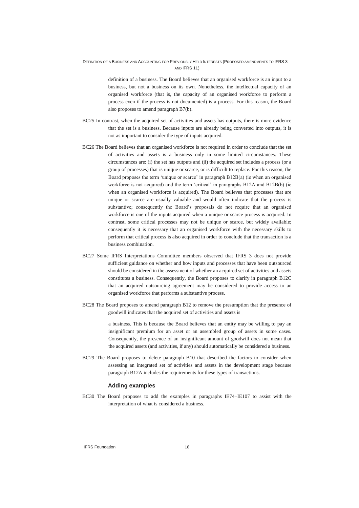> definition of a business. The Board believes that an organised workforce is an input to a business, but not a business on its own. Nonetheless, the intellectual capacity of an organised workforce (that is, the capacity of an organised workforce to perform a process even if the process is not documented) is a process. For this reason, the Board also proposes to amend paragraph B7(b).

- BC25 In contrast, when the acquired set of activities and assets has outputs, there is more evidence that the set is a business. Because inputs are already being converted into outputs, it is not as important to consider the type of inputs acquired.
- BC26 The Board believes that an organised workforce is not required in order to conclude that the set of activities and assets is a business only in some limited circumstances. These circumstances are: (i) the set has outputs and (ii) the acquired set includes a process (or a group of processes) that is unique or scarce, or is difficult to replace. For this reason, the Board proposes the term 'unique or scarce' in paragraph B12B(a) (ie when an organised workforce is not acquired) and the term 'critical' in paragraphs B12A and B12B(b) (ie when an organised workforce is acquired). The Board believes that processes that are unique or scarce are usually valuable and would often indicate that the process is substantive; consequently the Board's proposals do not require that an organised workforce is one of the inputs acquired when a unique or scarce process is acquired. In contrast, some critical processes may not be unique or scarce, but widely available; consequently it is necessary that an organised workforce with the necessary skills to perform that critical process is also acquired in order to conclude that the transaction is a business combination.
- BC27 Some IFRS Interpretations Committee members observed that IFRS 3 does not provide sufficient guidance on whether and how inputs and processes that have been outsourced should be considered in the assessment of whether an acquired set of activities and assets constitutes a business. Consequently, the Board proposes to clarify in paragraph B12C that an acquired outsourcing agreement may be considered to provide access to an organised workforce that performs a substantive process.
- BC28 The Board proposes to amend paragraph B12 to remove the presumption that the presence of goodwill indicates that the acquired set of activities and assets is

a business. This is because the Board believes that an entity may be willing to pay an insignificant premium for an asset or an assembled group of assets in some cases. Consequently, the presence of an insignificant amount of goodwill does not mean that the acquired assets (and activities, if any) should automatically be considered a business.

BC29 The Board proposes to delete paragraph B10 that described the factors to consider when assessing an integrated set of activities and assets in the development stage because paragraph B12A includes the requirements for these types of transactions.

#### **Adding examples**

BC30 The Board proposes to add the examples in paragraphs IE74–IE107 to assist with the interpretation of what is considered a business.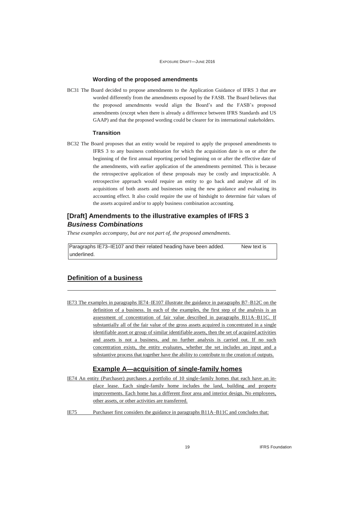#### **Wording of the proposed amendments**

BC31 The Board decided to propose amendments to the Application Guidance of IFRS 3 that are worded differently from the amendments exposed by the FASB. The Board believes that the proposed amendments would align the Board's and the FASB's proposed amendments (except when there is already a difference between IFRS Standards and US GAAP) and that the proposed wording could be clearer for its international stakeholders.

#### **Transition**

BC32 The Board proposes that an entity would be required to apply the proposed amendments to IFRS 3 to any business combination for which the acquisition date is on or after the beginning of the first annual reporting period beginning on or after the effective date of the amendments, with earlier application of the amendments permitted. This is because the retrospective application of these proposals may be costly and impracticable. A retrospective approach would require an entity to go back and analyse all of its acquisitions of both assets and businesses using the new guidance and evaluating its accounting effect. It also could require the use of hindsight to determine fair values of the assets acquired and/or to apply business combination accounting.

# **[Draft] Amendments to the illustrative examples of IFRS 3**  *Business Combinations*

*These examples accompany, but are not part of, the proposed amendments.*

Paragraphs IE73-IE107 and their related heading have been added. New text is underlined.

# **Definition of a business**

IE73 The examples in paragraphs IE74–IE107 illustrate the guidance in paragraphs B7–B12C on the definition of a business. In each of the examples, the first step of the analysis is an assessment of concentration of fair value described in paragraphs B11A–B11C. If substantially all of the fair value of the gross assets acquired is concentrated in a single identifiable asset or group of similar identifiable assets, then the set of acquired activities and assets is not a business, and no further analysis is carried out. If no such concentration exists, the entity evaluates, whether the set includes an input and a substantive process that together have the ability to contribute to the creation of outputs.

# **Example A—acquisition of single-family homes**

- IE74 An entity (Purchaser) purchases a portfolio of 10 single-family homes that each have an inplace lease. Each single-family home includes the land, building and property improvements. Each home has a different floor area and interior design. No employees, other assets, or other activities are transferred.
- IE75 Purchaser first considers the guidance in paragraphs B11A–B11C and concludes that: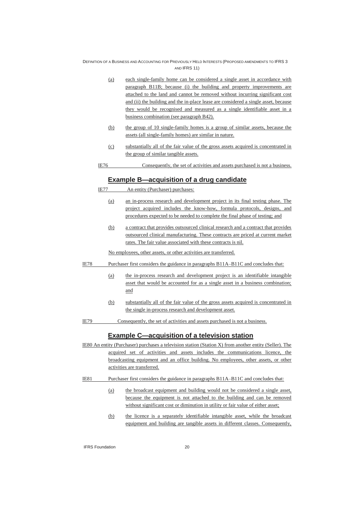|      | (a)                                                                                | each single-family home can be considered a single asset in accordance with<br>paragraph B11B; because (i) the building and property improvements are<br>attached to the land and cannot be removed without incurring significant cost<br>and (ii) the building and the in-place lease are considered a single asset, because<br>they would be recognised and measured as a single identifiable asset in a<br>business combination (see paragraph B42). |  |  |
|------|------------------------------------------------------------------------------------|---------------------------------------------------------------------------------------------------------------------------------------------------------------------------------------------------------------------------------------------------------------------------------------------------------------------------------------------------------------------------------------------------------------------------------------------------------|--|--|
|      | (b)                                                                                | the group of 10 single-family homes is a group of similar assets, because the<br>assets (all single-family homes) are similar in nature.                                                                                                                                                                                                                                                                                                                |  |  |
|      | (c)                                                                                | substantially all of the fair value of the gross assets acquired is concentrated in<br>the group of similar tangible assets.                                                                                                                                                                                                                                                                                                                            |  |  |
| IE76 |                                                                                    | Consequently, the set of activities and assets purchased is not a business.                                                                                                                                                                                                                                                                                                                                                                             |  |  |
|      |                                                                                    | <b>Example B-acquisition of a drug candidate</b>                                                                                                                                                                                                                                                                                                                                                                                                        |  |  |
| IE77 |                                                                                    | An entity (Purchaser) purchases:                                                                                                                                                                                                                                                                                                                                                                                                                        |  |  |
|      | (a)                                                                                | an in-process research and development project in its final testing phase. The<br>project acquired includes the know-how, formula protocols, designs, and<br>procedures expected to be needed to complete the final phase of testing; and                                                                                                                                                                                                               |  |  |
|      | (b)                                                                                | a contract that provides outsourced clinical research and a contract that provides<br>outsourced clinical manufacturing. These contracts are priced at current market<br>rates. The fair value associated with these contracts is nil.                                                                                                                                                                                                                  |  |  |
|      | No employees, other assets, or other activities are transferred.                   |                                                                                                                                                                                                                                                                                                                                                                                                                                                         |  |  |
| IE78 | Purchaser first considers the guidance in paragraphs B11A-B11C and concludes that: |                                                                                                                                                                                                                                                                                                                                                                                                                                                         |  |  |
|      | (a)                                                                                | the in-process research and development project is an identifiable intangible<br>asset that would be accounted for as a single asset in a business combination;<br>and                                                                                                                                                                                                                                                                                  |  |  |
|      | (b)                                                                                | substantially all of the fair value of the gross assets acquired is concentrated in<br>the single in-process research and development asset.                                                                                                                                                                                                                                                                                                            |  |  |
| IE79 |                                                                                    | Consequently, the set of activities and assets purchased is not a business.                                                                                                                                                                                                                                                                                                                                                                             |  |  |
|      |                                                                                    | <b>Example C-acquisition of a television station</b>                                                                                                                                                                                                                                                                                                                                                                                                    |  |  |
|      |                                                                                    | IE80 An entity (Purchaser) purchases a television station (Station X) from another entity (Seller). The                                                                                                                                                                                                                                                                                                                                                 |  |  |
|      |                                                                                    | acquired set of activities and assets includes the communications licence, the<br>broadcasting equipment and an office building. No employees, other assets, or other<br>activities are transferred.                                                                                                                                                                                                                                                    |  |  |
| IE81 | Purchaser first considers the guidance in paragraphs B11A-B11C and concludes that: |                                                                                                                                                                                                                                                                                                                                                                                                                                                         |  |  |
|      | (a)                                                                                | the broadcast equipment and building would not be considered a single asset,<br>because the equipment is not attached to the building and can be removed<br>without significant cost or diminution in utility or fair value of either asset;                                                                                                                                                                                                            |  |  |
|      | <u>(b)</u>                                                                         | the licence is a separately identifiable intangible asset, while the broadcast<br>equipment and building are tangible assets in different classes. Consequently,                                                                                                                                                                                                                                                                                        |  |  |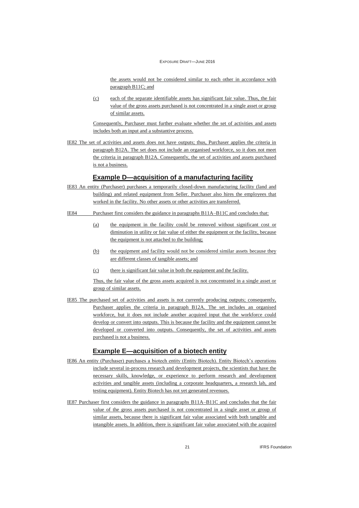the assets would not be considered similar to each other in accordance with paragraph B11C; and

(c) each of the separate identifiable assets has significant fair value. Thus, the fair value of the gross assets purchased is not concentrated in a single asset or group of similar assets.

Consequently, Purchaser must further evaluate whether the set of activities and assets includes both an input and a substantive process.

IE82 The set of activities and assets does not have outputs; thus, Purchaser applies the criteria in paragraph B12A. The set does not include an organised workforce, so it does not meet the criteria in paragraph B12A. Consequently, the set of activities and assets purchased is not a business.

## **Example D—acquisition of a manufacturing facility**

- IE83 An entity (Purchaser) purchases a temporarily closed-down manufacturing facility (land and building) and related equipment from Seller. Purchaser also hires the employees that worked in the facility. No other assets or other activities are transferred.
- IE84 Purchaser first considers the guidance in paragraphs B11A–B11C and concludes that:
	- (a) the equipment in the facility could be removed without significant cost or diminution in utility or fair value of either the equipment or the facility, because the equipment is not attached to the building;
	- (b) the equipment and facility would not be considered similar assets because they are different classes of tangible assets; and
	- (c) there is significant fair value in both the equipment and the facility.

Thus, the fair value of the gross assets acquired is not concentrated in a single asset or group of similar assets.

IE85 The purchased set of activities and assets is not currently producing outputs; consequently, Purchaser applies the criteria in paragraph B12A. The set includes an organised workforce, but it does not include another acquired input that the workforce could develop or convert into outputs. This is because the facility and the equipment cannot be developed or converted into outputs. Consequently, the set of activities and assets purchased is not a business.

# **Example E—acquisition of a biotech entity**

- IE86 An entity (Purchaser) purchases a biotech entity (Entity Biotech). Entity Biotech's operations include several in-process research and development projects, the scientists that have the necessary skills, knowledge, or experience to perform research and development activities and tangible assets (including a corporate headquarters, a research lab, and testing equipment). Entity Biotech has not yet generated revenues.
- IE87 Purchaser first considers the guidance in paragraphs B11A–B11C and concludes that the fair value of the gross assets purchased is not concentrated in a single asset or group of similar assets, because there is significant fair value associated with both tangible and intangible assets. In addition, there is significant fair value associated with the acquired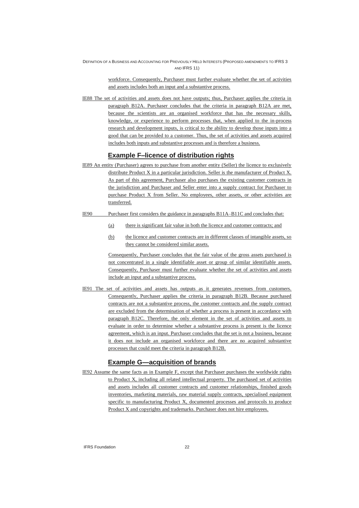> workforce. Consequently, Purchaser must further evaluate whether the set of activities and assets includes both an input and a substantive process.

IE88 The set of activities and assets does not have outputs; thus, Purchaser applies the criteria in paragraph B12A. Purchaser concludes that the criteria in paragraph B12A are met, because the scientists are an organised workforce that has the necessary skills, knowledge, or experience to perform processes that, when applied to the in-process research and development inputs, is critical to the ability to develop those inputs into a good that can be provided to a customer. Thus, the set of activities and assets acquired includes both inputs and substantive processes and is therefore a business.

# **Example F–licence of distribution rights**

- IE89 An entity (Purchaser) agrees to purchase from another entity (Seller) the licence to exclusively distribute Product X in a particular jurisdiction. Seller is the manufacturer of Product X. As part of this agreement, Purchaser also purchases the existing customer contracts in the jurisdiction and Purchaser and Seller enter into a supply contract for Purchaser to purchase Product X from Seller. No employees, other assets, or other activities are transferred.
- IE90 Purchaser first considers the guidance in paragraphs B11A–B11C and concludes that:
	- (a) there is significant fair value in both the licence and customer contracts; and
	- (b) the licence and customer contracts are in different classes of intangible assets, so they cannot be considered similar assets.

Consequently, Purchaser concludes that the fair value of the gross assets purchased is not concentrated in a single identifiable asset or group of similar identifiable assets. Consequently, Purchaser must further evaluate whether the set of activities and assets include an input and a substantive process.

IE91 The set of activities and assets has outputs as it generates revenues from customers. Consequently, Purchaser applies the criteria in paragraph B12B. Because purchased contracts are not a substantive process, the customer contracts and the supply contract are excluded from the determination of whether a process is present in accordance with paragraph B12C. Therefore, the only element in the set of activities and assets to evaluate in order to determine whether a substantive process is present is the licence agreement, which is an input. Purchaser concludes that the set is not a business, because it does not include an organised workforce and there are no acquired substantive processes that could meet the criteria in paragraph B12B.

# **Example G—acquisition of brands**

IE92 Assume the same facts as in Example F, except that Purchaser purchases the worldwide rights to Product X, including all related intellectual property. The purchased set of activities and assets includes all customer contracts and customer relationships, finished goods inventories, marketing materials, raw material supply contracts, specialised equipment specific to manufacturing Product X, documented processes and protocols to produce Product X and copyrights and trademarks. Purchaser does not hire employees.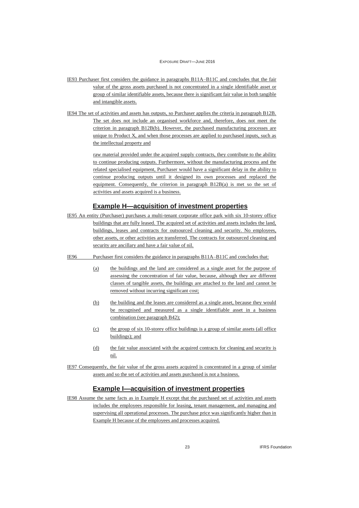- IE93 Purchaser first considers the guidance in paragraphs B11A–B11C and concludes that the fair value of the gross assets purchased is not concentrated in a single identifiable asset or group of similar identifiable assets, because there is significant fair value in both tangible and intangible assets.
- IE94 The set of activities and assets has outputs, so Purchaser applies the criteria in paragraph B12B. The set does not include an organised workforce and, therefore, does not meet the criterion in paragraph B12B(b). However, the purchased manufacturing processes are unique to Product X, and when those processes are applied to purchased inputs, such as the intellectual property and

raw material provided under the acquired supply contracts, they contribute to the ability to continue producing outputs. Furthermore, without the manufacturing process and the related specialised equipment, Purchaser would have a significant delay in the ability to continue producing outputs until it designed its own processes and replaced the equipment. Consequently, the criterion in paragraph B12B(a) is met so the set of activities and assets acquired is a business.

#### **Example H—acquisition of investment properties**

IE95 An entity (Purchaser) purchases a multi-tenant corporate office park with six 10-storey office buildings that are fully leased. The acquired set of activities and assets includes the land, buildings, leases and contracts for outsourced cleaning and security. No employees, other assets, or other activities are transferred. The contracts for outsourced cleaning and security are ancillary and have a fair value of nil.

IE96 Purchaser first considers the guidance in paragraphs B11A–B11C and concludes that:

- (a) the buildings and the land are considered as a single asset for the purpose of assessing the concentration of fair value, because, although they are different classes of tangible assets, the buildings are attached to the land and cannot be removed without incurring significant cost;
- (b) the building and the leases are considered as a single asset, because they would be recognised and measured as a single identifiable asset in a business combination (see paragraph B42);
- (c) the group of six 10-storey office buildings is a group of similar assets (all office buildings); and
- (d) the fair value associated with the acquired contracts for cleaning and security is nil.
- IE97 Consequently, the fair value of the gross assets acquired is concentrated in a group of similar assets and so the set of activities and assets purchased is not a business.

# **Example I—acquisition of investment properties**

IE98 Assume the same facts as in Example H except that the purchased set of activities and assets includes the employees responsible for leasing, tenant management, and managing and supervising all operational processes. The purchase price was significantly higher than in Example H because of the employees and processes acquired.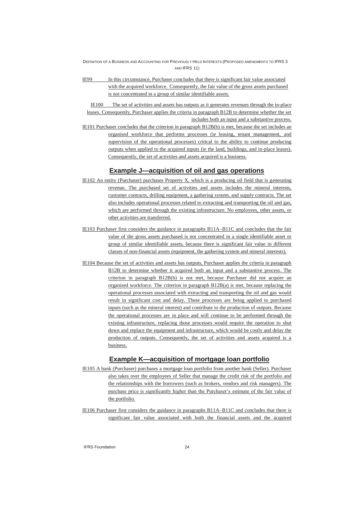IE99 In this circumstance, Purchaser concludes that there is significant fair value associated with the acquired workforce. Consequently, the fair value of the gross assets purchased is not concentrated in a group of similar identifiable assets.

IE100 The set of activities and assets has outputs as it generates revenues through the in-place leases. Consequently, Purchaser applies the criteria in paragraph B12B to determine whether the set includes both an input and a substantive process.

IE101 Purchaser concludes that the criterion in paragraph B12B(b) is met, because the set includes an organised workforce that performs processes (ie leasing, tenant management, and supervision of the operational processes) critical to the ability to continue producing outputs when applied to the acquired inputs (ie the land, buildings, and in-place leases). Consequently, the set of activities and assets acquired is a business.

# **Example J—acquisition of oil and gas operations**

- IE102 An entity (Purchaser) purchases Property X, which is a producing oil field that is generating revenue. The purchased set of activities and assets includes the mineral interests, customer contracts, drilling equipment, a gathering system, and supply contracts. The set also includes operational processes related to extracting and transporting the oil and gas, which are performed through the existing infrastructure. No employees, other assets, or other activities are transferred.
- IE103 Purchaser first considers the guidance in paragraphs B11A–B11C and concludes that the fair value of the gross assets purchased is not concentrated in a single identifiable asset or group of similar identifiable assets, because there is significant fair value in different classes of non-financial assets (equipment, the gathering system and mineral interests).
- IE104 Because the set of activities and assets has outputs, Purchaser applies the criteria in paragraph B12B to determine whether it acquired both an input and a substantive process. The criterion in paragraph B12B(b) is not met, because Purchaser did not acquire an organised workforce. The criterion in paragraph B12B(a) is met, because replacing the operational processes associated with extracting and transporting the oil and gas would result in significant cost and delay. These processes are being applied to purchased inputs (such as the mineral interest) and contribute to the production of outputs. Because the operational processes are in place and will continue to be performed through the existing infrastructure, replacing those processes would require the operation to shut down and replace the equipment and infrastructure, which would be costly and delay the production of outputs. Consequently, the set of activities and assets acquired is a business.

# **Example K—acquisition of mortgage loan portfolio**

IE105 A bank (Purchaser) purchases a mortgage loan portfolio from another bank (Seller). Purchaser also takes over the employees of Seller that manage the credit risk of the portfolio and the relationships with the borrowers (such as brokers, vendors and risk managers). The purchase price is significantly higher than the Purchaser's estimate of the fair value of the portfolio.

IE106 Purchaser first considers the guidance in paragraphs B11A–B11C and concludes that there is significant fair value associated with both the financial assets and the acquired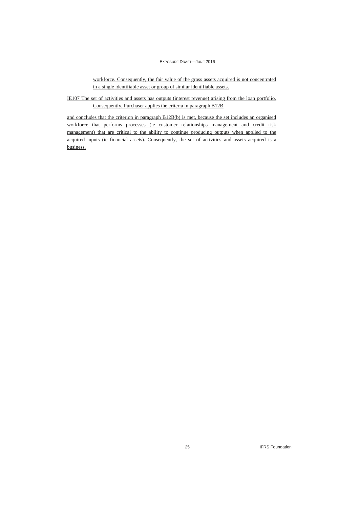workforce. Consequently, the fair value of the gross assets acquired is not concentrated in a single identifiable asset or group of similar identifiable assets.

IE107 The set of activities and assets has outputs (interest revenue) arising from the loan portfolio. Consequently, Purchaser applies the criteria in paragraph B12B

and concludes that the criterion in paragraph B12B(b) is met, because the set includes an organised workforce that performs processes (ie customer relationships management and credit risk management) that are critical to the ability to continue producing outputs when applied to the acquired inputs (ie financial assets). Consequently, the set of activities and assets acquired is a business.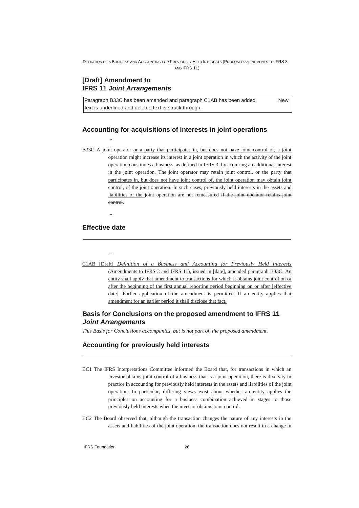# **[Draft] Amendment to IFRS 11** *Joint Arrangements*

Paragraph B33C has been amended and paragraph C1AB has been added. New text is underlined and deleted text is struck through.

**Accounting for acquisitions of interests in joint operations**

B33C A joint operator <u>or a party that participates in</u>, but does not have joint control of, a joint operation might increase its interest in a joint operation in which the activity of the joint operation constitutes a business, as defined in IFRS 3, by acquiring an additional interest in the joint operation. The joint operator may retain joint control, or the party that participates in, but does not have joint control of, the joint operation may obtain joint control, of the joint operation. In such cases, previously held interests in the assets and liabilities of the joint operation are not remeasured if the joint operator retains joint control.

...

...

# **Effective date**

...

C1AB [Draft] *Definition of a Business and Accounting for Previously Held Interests*  (Amendments to IFRS 3 and IFRS 11), issued in [date], amended paragraph B33C. An entity shall apply that amendment to transactions for which it obtains joint control on or after the beginning of the first annual reporting period beginning on or after [effective date]. Earlier application of the amendment is permitted. If an entity applies that amendment for an earlier period it shall disclose that fact.

# **Basis for Conclusions on the proposed amendment to IFRS 11**  *Joint Arrangements*

*This Basis for Conclusions accompanies, but is not part of, the proposed amendment.*

#### **Accounting for previously held interests**

- BC1 The IFRS Interpretations Committee informed the Board that, for transactions in which an investor obtains joint control of a business that is a joint operation, there is diversity in practice in accounting for previously held interests in the assets and liabilities of the joint operation. In particular, differing views exist about whether an entity applies the principles on accounting for a business combination achieved in stages to those previously held interests when the investor obtains joint control.
- BC2 The Board observed that, although the transaction changes the nature of any interests in the assets and liabilities of the joint operation, the transaction does not result in a change in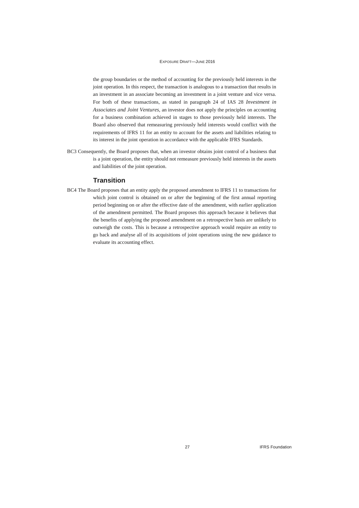the group boundaries or the method of accounting for the previously held interests in the joint operation. In this respect, the transaction is analogous to a transaction that results in an investment in an associate becoming an investment in a joint venture and vice versa. For both of these transactions, as stated in paragraph 24 of IAS 28 *Investment in Associates and Joint Ventures*, an investor does not apply the principles on accounting for a business combination achieved in stages to those previously held interests. The Board also observed that remeasuring previously held interests would conflict with the requirements of IFRS 11 for an entity to account for the assets and liabilities relating to its interest in the joint operation in accordance with the applicable IFRS Standards.

BC3 Consequently, the Board proposes that, when an investor obtains joint control of a business that is a joint operation, the entity should not remeasure previously held interests in the assets and liabilities of the joint operation.

#### **Transition**

BC4 The Board proposes that an entity apply the proposed amendment to IFRS 11 to transactions for which joint control is obtained on or after the beginning of the first annual reporting period beginning on or after the effective date of the amendment, with earlier application of the amendment permitted. The Board proposes this approach because it believes that the benefits of applying the proposed amendment on a retrospective basis are unlikely to outweigh the costs. This is because a retrospective approach would require an entity to go back and analyse all of its acquisitions of joint operations using the new guidance to evaluate its accounting effect.